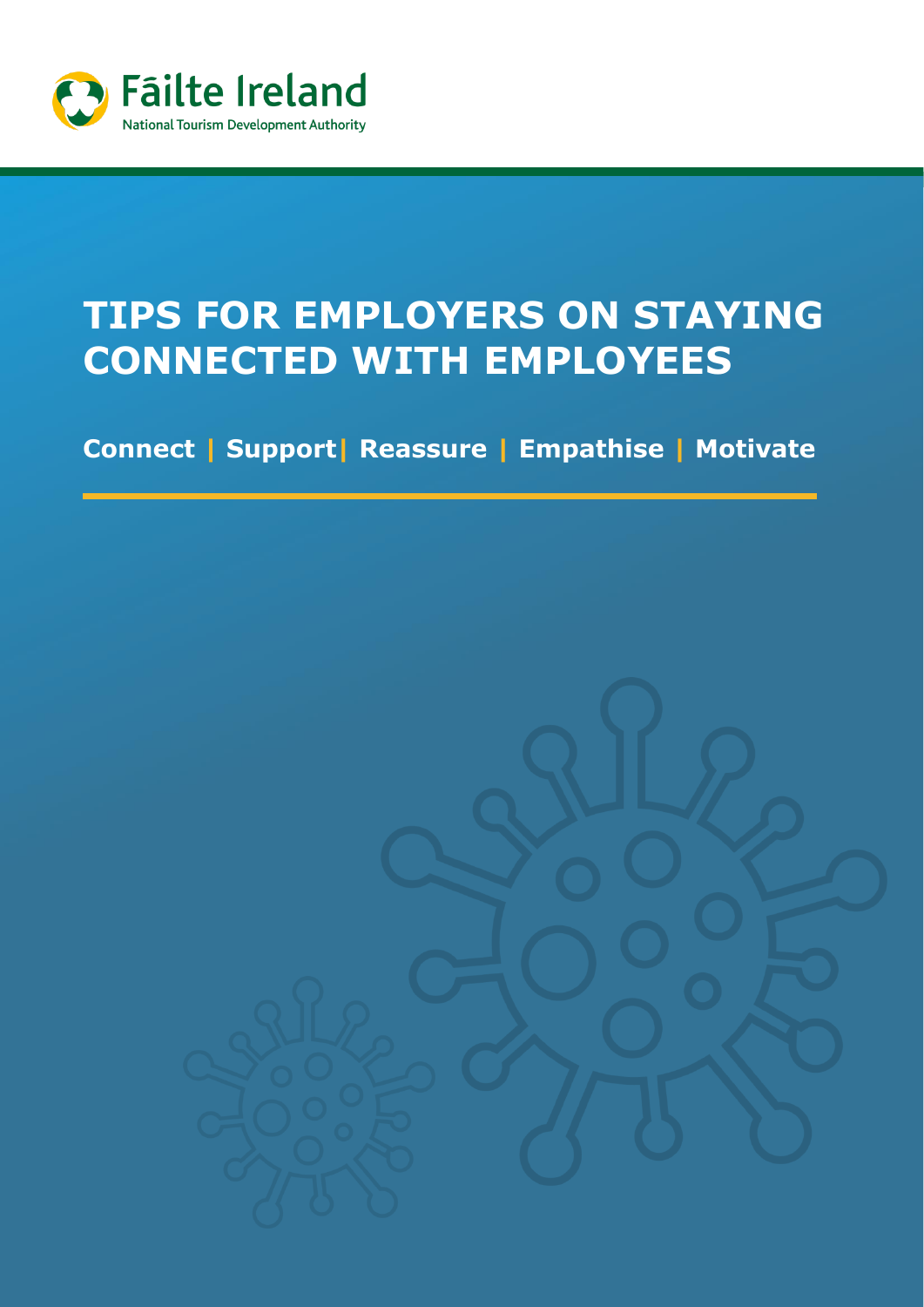

# **TIPS FOR EMPLOYERS ON STAYING CONNECTED WITH EMPLOYEES**

**Connect | Support| Reassure | Empathise | Motivate** 

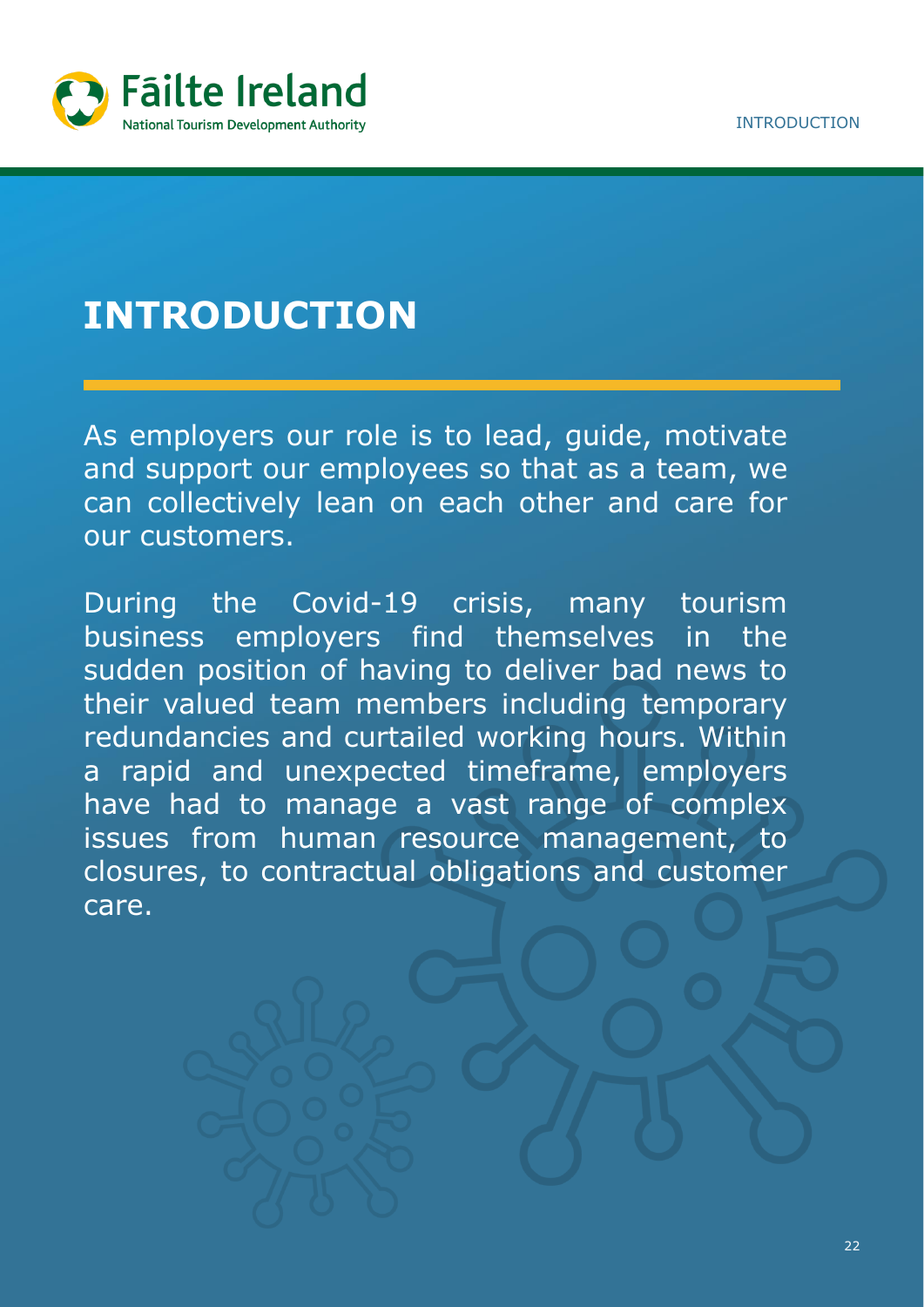

## **INTRODUCTION**

As employers our role is to lead, guide, motivate and support our employees so that as a team, we can collectively lean on each other and care for our customers.

During the Covid-19 crisis, many tourism business employers find themselves in the sudden position of having to deliver bad news to their valued team members including temporary redundancies and curtailed working hours. Within a rapid and unexpected timeframe, employers have had to manage a vast range of complex issues from human resource management, to closures, to contractual obligations and customer care.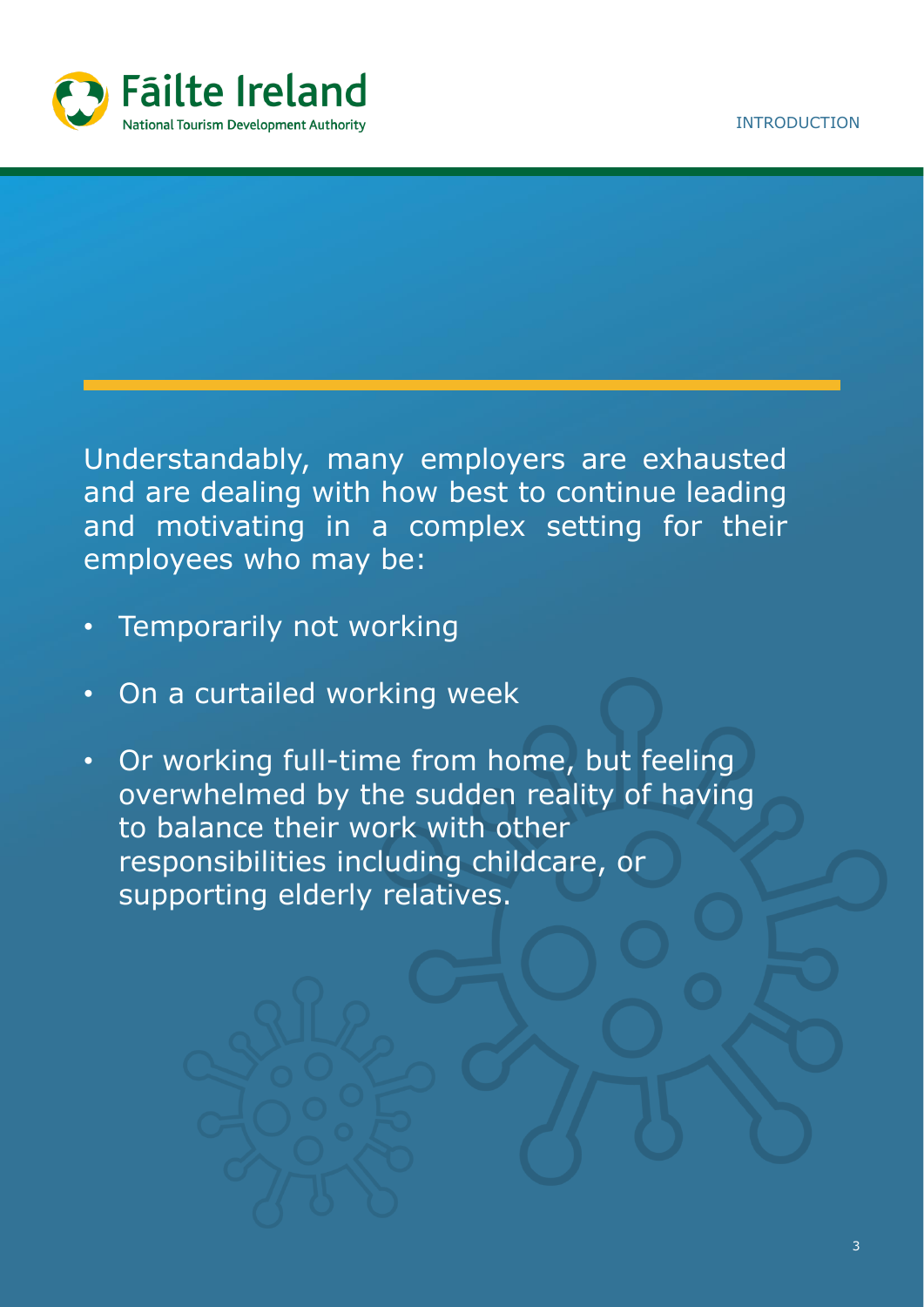

Understandably, many employers are exhausted and are dealing with how best to continue leading and motivating in a complex setting for their employees who may be:

- Temporarily not working
- On a curtailed working week
- Or working full-time from home, but feeling overwhelmed by the sudden reality of having to balance their work with other responsibilities including childcare, or supporting elderly relatives.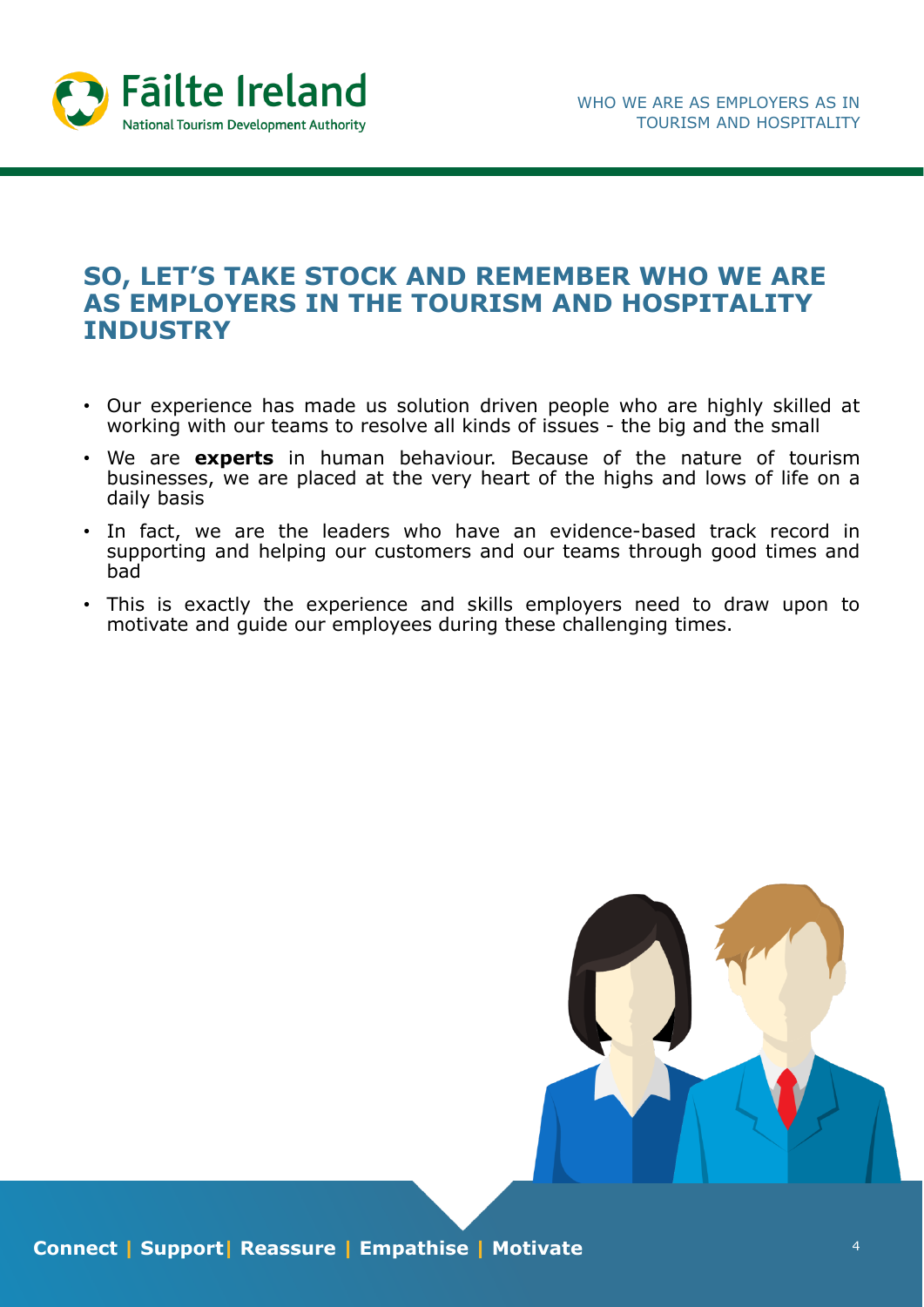

#### **SO, LET'S TAKE STOCK AND REMEMBER WHO WE ARE AS EMPLOYERS IN THE TOURISM AND HOSPITALITY INDUSTRY**

- Our experience has made us solution driven people who are highly skilled at working with our teams to resolve all kinds of issues - the big and the small
- We are **experts** in human behaviour. Because of the nature of tourism businesses, we are placed at the very heart of the highs and lows of life on a daily basis
- In fact, we are the leaders who have an evidence-based track record in supporting and helping our customers and our teams through good times and bad
- This is exactly the experience and skills employers need to draw upon to motivate and guide our employees during these challenging times.

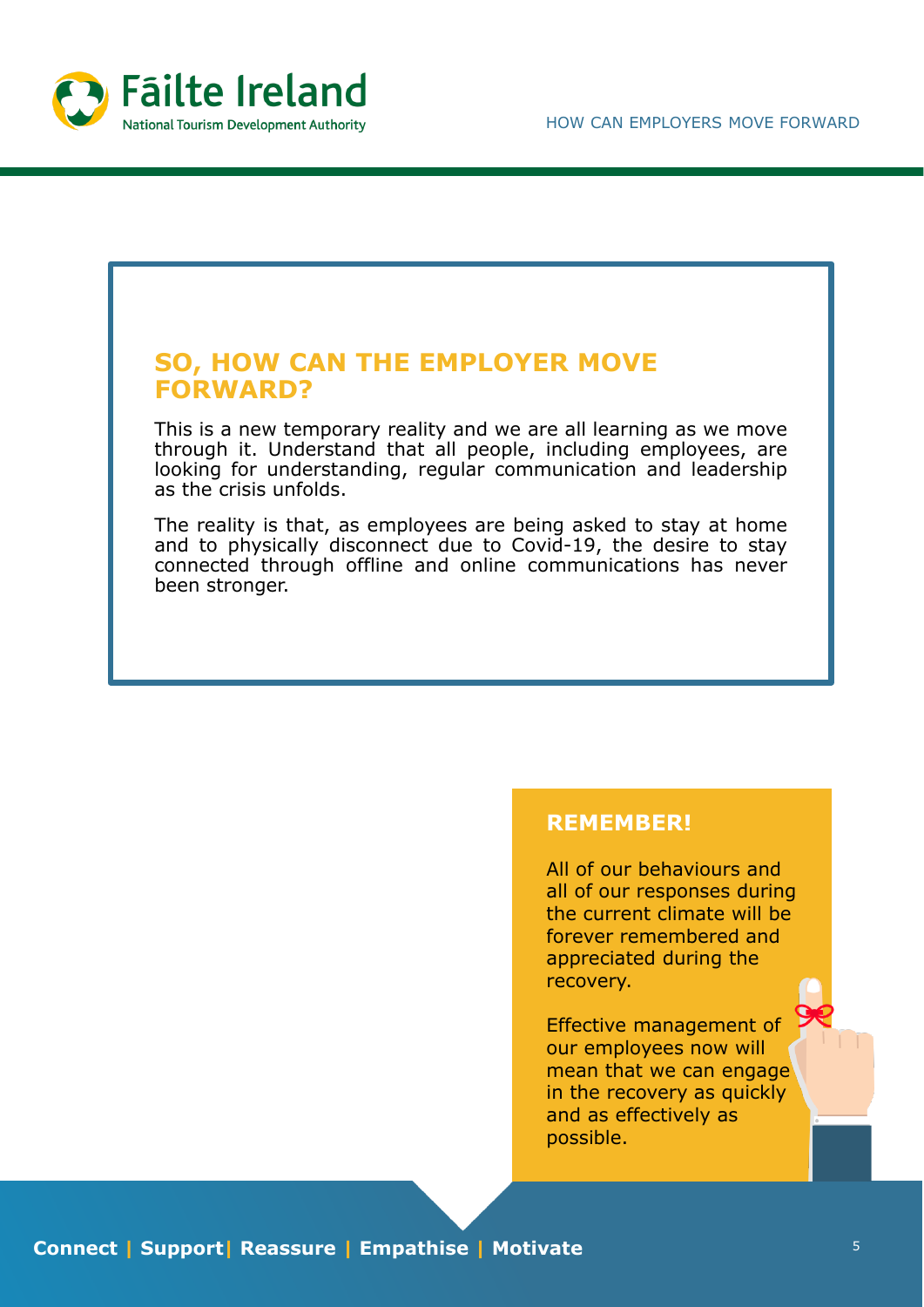

# **SO, HOW CAN THE EMPLOYER MOVE FORWARD?** This is a new temporary reality and we are all learning as we move through it. Understand that all people, including employees, are looking for understanding, regular communication and leadership as the crisis unfolds. The reality is that, as employees are being asked to stay at home and to physically disconnect due to Covid-19, the desire to stay connected through offline and online communications has never been stronger.

#### **REMEMBER!**

All of our behaviours and all of our responses during the current climate will be forever remembered and appreciated during the recovery.

Effective management of our employees now will mean that we can engage in the recovery as quickly and as effectively as possible.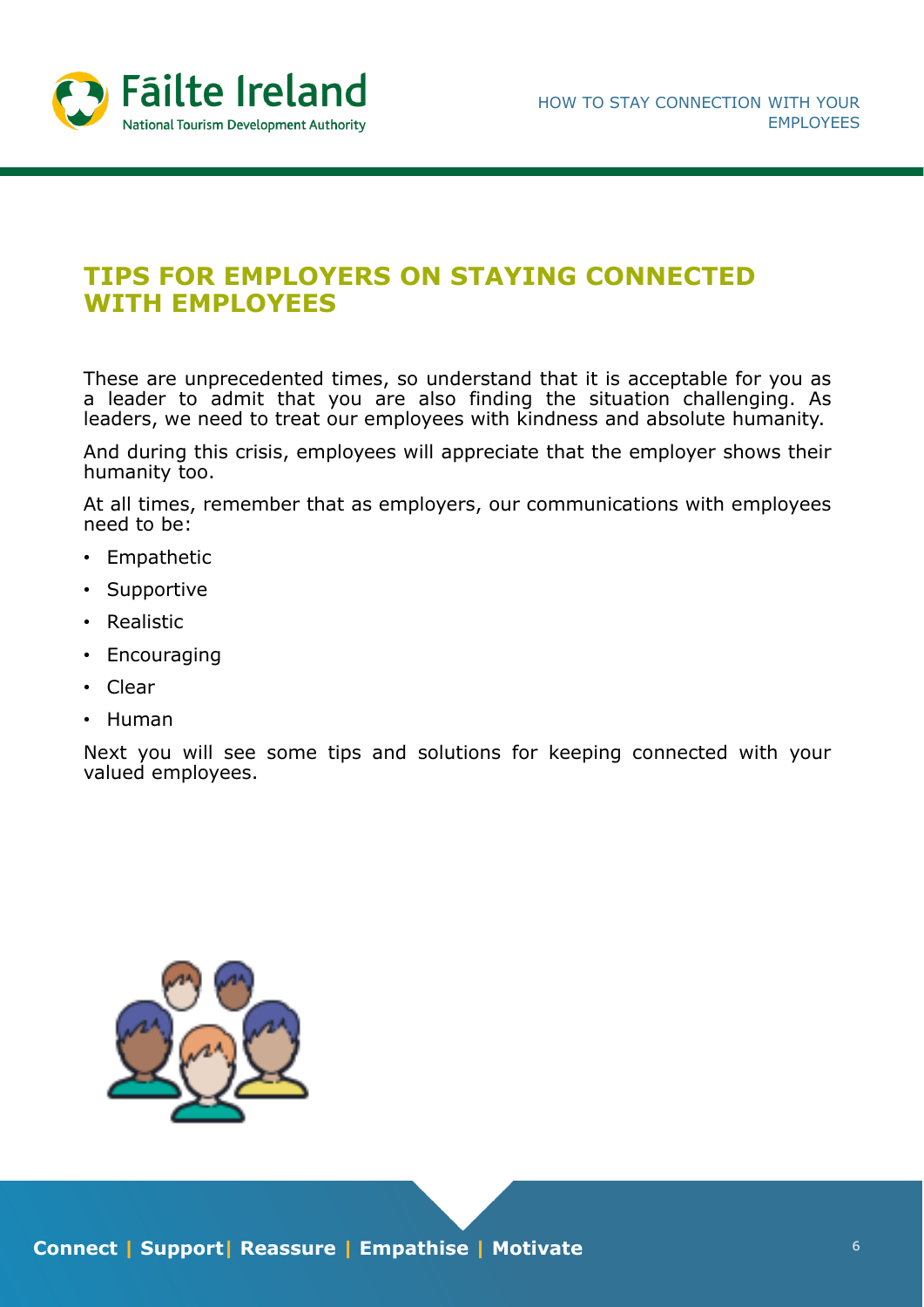

### **TIPS FOR EMPLOYERS ON STAYING CONNECTED WITH EMPLOYEES**

These are unprecedented times, so understand that it is acceptable for you as a leader to admit that you are also finding the situation challenging. As leaders, we need to treat our employees with kindness and absolute humanity.

And during this crisis, employees will appreciate that the employer shows their humanity too.

At all times, remember that as employers, our communications with employees need to be:

- Empathetic
- Supportive
- Realistic
- Encouraging
- Clear
- Human

Next you will see some tips and solutions for keeping connected with your valued employees.

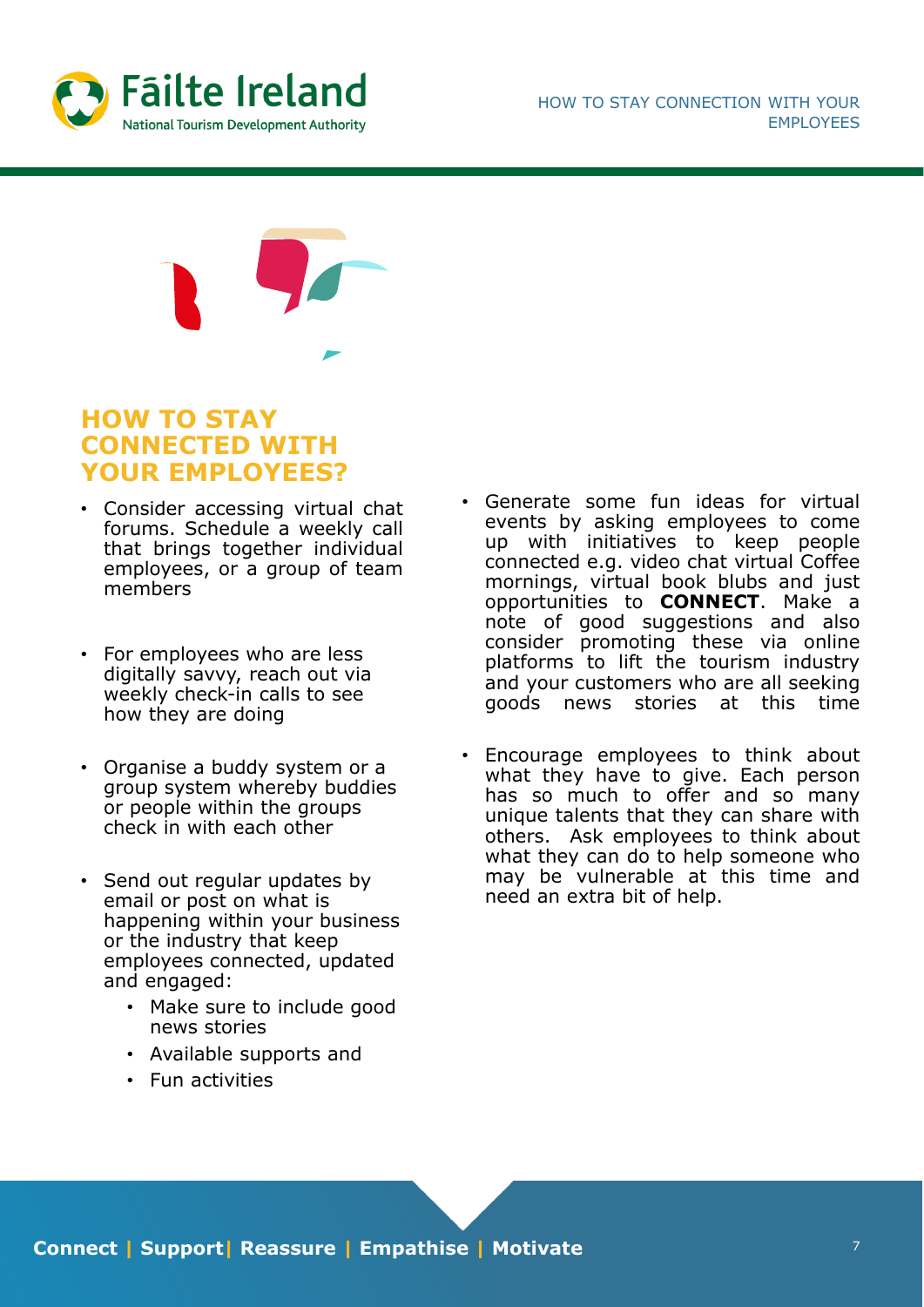

#### **HOW TO STAY CONNECTED WITH YOUR EMPLOYEES?**

- Consider accessing virtual chat forums. Schedule a weekly call that brings together individual employees, or a group of team members
- For employees who are less digitally savvy, reach out via weekly check-in calls to see how they are doing
- Organise a buddy system or a group system whereby buddies or people within the groups check in with each other
- Send out regular updates by email or post on what is happening within your business or the industry that keep employees connected, updated and engaged:
	- Make sure to include good news stories
	- Available supports and
	- Fun activities
- Generate some fun ideas for virtual events by asking employees to come up with initiatives to keep people connected e.g. video chat virtual Coffee mornings, virtual book blubs and just opportunities to **CONNECT**. Make a note of good suggestions and also consider promoting these via online platforms to lift the tourism industry and your customers who are all seeking goods news stories at this time
- Encourage employees to think about what they have to give. Each person has so much to offer and so many unique talents that they can share with others. Ask employees to think about what they can do to help someone who may be vulnerable at this time and need an extra bit of help.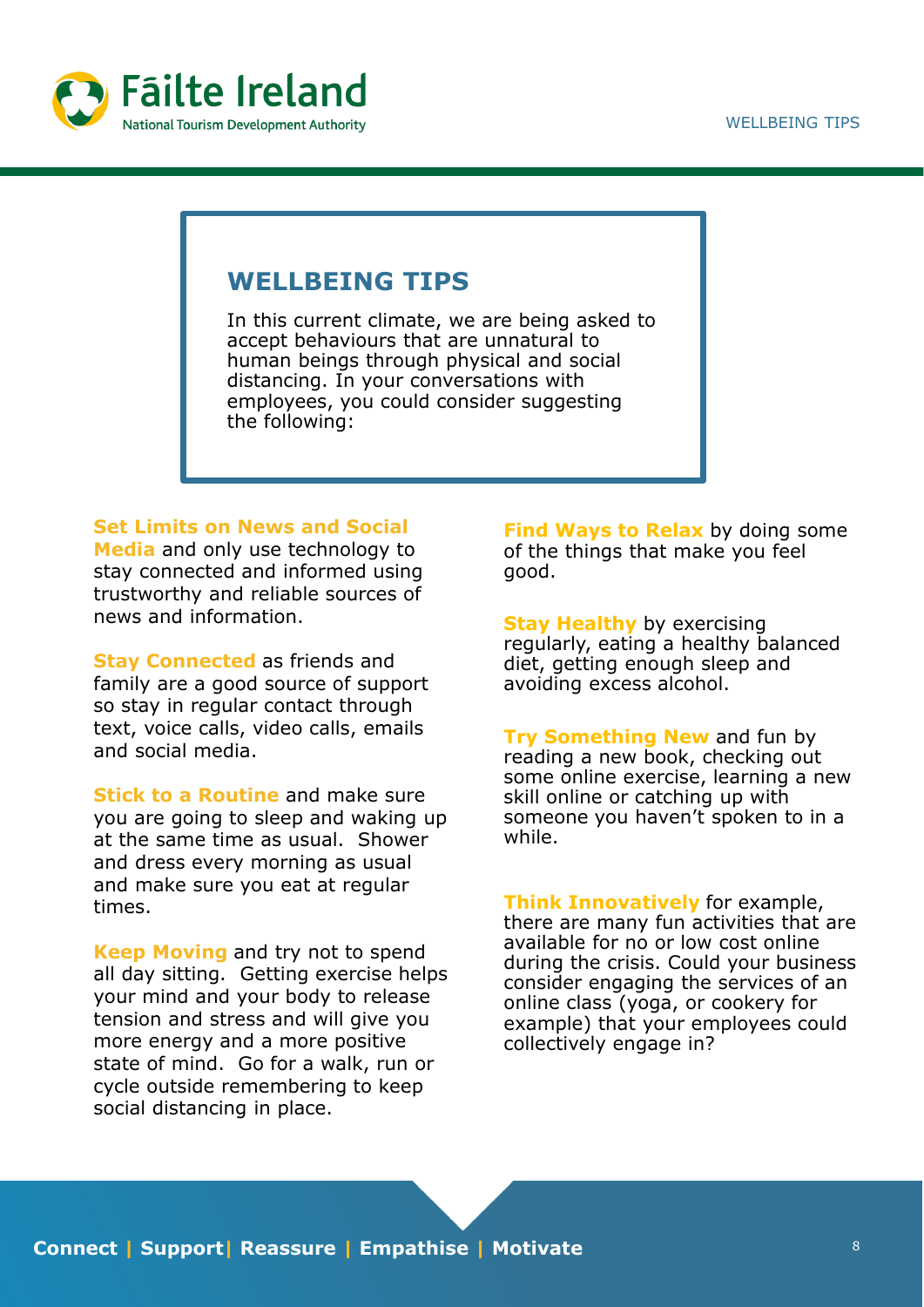

#### **WELLBEING TIPS**

In this current climate, we are being asked to accept behaviours that are unnatural to human beings through physical and social distancing. In your conversations with employees, you could consider suggesting the following:

#### **Set Limits on News and Social**

**Media** and only use technology to stay connected and informed using trustworthy and reliable sources of news and information.

**Stay Connected** as friends and family are a good source of support so stay in regular contact through text, voice calls, video calls, emails and social media.

**Stick to a Routine** and make sure you are going to sleep and waking up at the same time as usual. Shower and dress every morning as usual and make sure you eat at regular times.

**Keep Moving** and try not to spend all day sitting. Getting exercise helps your mind and your body to release tension and stress and will give you more energy and a more positive state of mind. Go for a walk, run or cycle outside remembering to keep social distancing in place.

**Find Ways to Relax** by doing some of the things that make you feel good.

**Stay Healthy** by exercising regularly, eating a healthy balanced diet, getting enough sleep and avoiding excess alcohol.

**Try Something New** and fun by reading a new book, checking out some online exercise, learning a new skill online or catching up with someone you haven't spoken to in a while.

**Think Innovatively** for example, there are many fun activities that are available for no or low cost online during the crisis. Could your business consider engaging the services of an online class (yoga, or cookery for example) that your employees could collectively engage in?